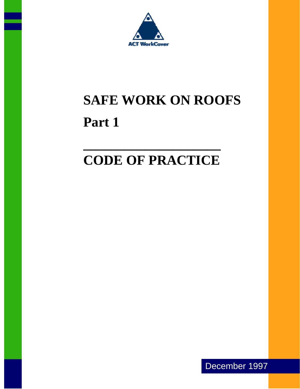

# **SAFE WORK ON ROOFS Part 1**

## **CODE OF PRACTICE**

**\_\_\_\_\_\_\_\_\_\_\_\_\_\_\_\_\_\_\_\_**

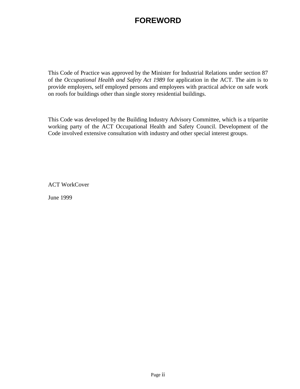## **FOREWORD**

This Code of Practice was approved by the Minister for Industrial Relations under section 87 of the *Occupational Health and Safety Act 1989* for application in the ACT. The aim is to provide employers, self employed persons and employees with practical advice on safe work on roofs for buildings other than single storey residential buildings.

This Code was developed by the Building Industry Advisory Committee, which is a tripartite working party of the ACT Occupational Health and Safety Council. Development of the Code involved extensive consultation with industry and other special interest groups.

ACT WorkCover

June 1999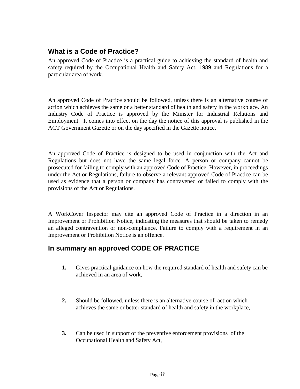### **What is a Code of Practice?**

An approved Code of Practice is a practical guide to achieving the standard of health and safety required by the Occupational Health and Safety Act, 1989 and Regulations for a particular area of work.

An approved Code of Practice should be followed, unless there is an alternative course of action which achieves the same or a better standard of health and safety in the workplace. An Industry Code of Practice is approved by the Minister for Industrial Relations and Employment. It comes into effect on the day the notice of this approval is published in the ACT Government Gazette or on the day specified in the Gazette notice.

An approved Code of Practice is designed to be used in conjunction with the Act and Regulations but does not have the same legal force. A person or company cannot be prosecuted for failing to comply with an approved Code of Practice. However, in proceedings under the Act or Regulations, failure to observe a relevant approved Code of Practice can be used as evidence that a person or company has contravened or failed to comply with the provisions of the Act or Regulations.

A WorkCover Inspector may cite an approved Code of Practice in a direction in an Improvement or Prohibition Notice, indicating the measures that should be taken to remedy an alleged contravention or non-compliance. Failure to comply with a requirement in an Improvement or Prohibition Notice is an offence.

## **In summary an approved CODE OF PRACTICE**

- **1.** Gives practical guidance on how the required standard of health and safety can be achieved in an area of work,
- **2.** Should be followed, unless there is an alternative course of action which achieves the same or better standard of health and safety in the workplace,
- **3.** Can be used in support of the preventive enforcement provisions of the Occupational Health and Safety Act,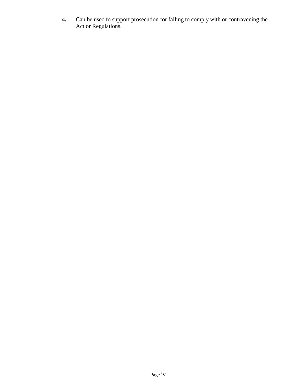**4.** Can be used to support prosecution for failing to comply with or contravening the Act or Regulations.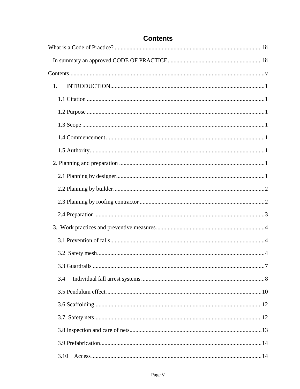| 1.         |
|------------|
|            |
|            |
|            |
|            |
|            |
|            |
|            |
|            |
|            |
|            |
|            |
|            |
|            |
| $\cdot$ .7 |
| 3.4        |
|            |
|            |
|            |
|            |
|            |
| 3.10       |

## **Contents**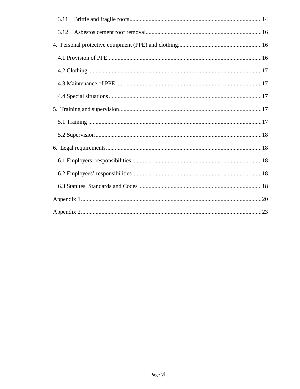| 3.11 |
|------|
| 3.12 |
|      |
|      |
|      |
|      |
|      |
|      |
|      |
|      |
|      |
|      |
|      |
|      |
|      |
|      |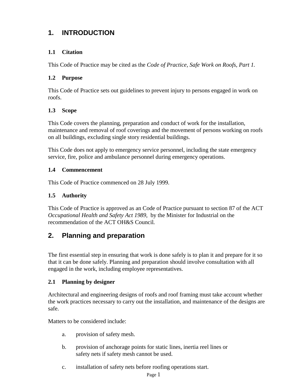## **1. INTRODUCTION**

#### **1.1 Citation**

This Code of Practice may be cited as the *Code of Practice, Safe Work on Roofs, Part 1.*

#### **1.2 Purpose**

This Code of Practice sets out guidelines to prevent injury to persons engaged in work on roofs.

#### **1.3 Scope**

This Code covers the planning, preparation and conduct of work for the installation, maintenance and removal of roof coverings and the movement of persons working on roofs on all buildings, excluding single story residential buildings.

This Code does not apply to emergency service personnel, including the state emergency service, fire, police and ambulance personnel during emergency operations.

#### **1.4 Commencement**

This Code of Practice commenced on 28 July 1999.

#### **1.5 Authority**

This Code of Practice is approved as an Code of Practice pursuant to section 87 of the ACT *Occupational Health and Safety Act 1989*, by the Minister for Industrial on the recommendation of the ACT OH&S Council*.*

#### **2. Planning and preparation**

The first essential step in ensuring that work is done safely is to plan it and prepare for it so that it can be done safely. Planning and preparation should involve consultation with all engaged in the work, including employee representatives.

#### **2.1 Planning by designer**

Architectural and engineering designs of roofs and roof framing must take account whether the work practices necessary to carry out the installation, and maintenance of the designs are safe.

Matters to be considered include:

- a. provision of safety mesh.
- b. provision of anchorage points for static lines, inertia reel lines or safety nets if safety mesh cannot be used.
- c. installation of safety nets before roofing operations start.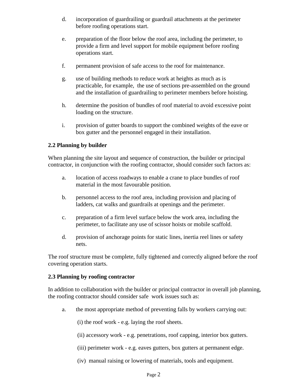- d. incorporation of guardrailing or guardrail attachments at the perimeter before roofing operations start.
- e. preparation of the floor below the roof area, including the perimeter, to provide a firm and level support for mobile equipment before roofing operations start.
- f. permanent provision of safe access to the roof for maintenance.
- g. use of building methods to reduce work at heights as much as is practicable, for example, the use of sections pre-assembled on the ground and the installation of guardrailing to perimeter members before hoisting.
- h. determine the position of bundles of roof material to avoid excessive point loading on the structure.
- i. provision of gutter boards to support the combined weights of the eave or box gutter and the personnel engaged in their installation.

#### **2.2 Planning by builder**

When planning the site layout and sequence of construction, the builder or principal contractor, in conjunction with the roofing contractor, should consider such factors as:

- a. location of access roadways to enable a crane to place bundles of roof material in the most favourable position.
- b. personnel access to the roof area, including provision and placing of ladders, cat walks and guardrails at openings and the perimeter.
- c. preparation of a firm level surface below the work area, including the perimeter, to facilitate any use of scissor hoists or mobile scaffold.
- d. provision of anchorage points for static lines, inertia reel lines or safety nets.

The roof structure must be complete, fully tightened and correctly aligned before the roof covering operation starts.

#### **2.3 Planning by roofing contractor**

In addition to collaboration with the builder or principal contractor in overall job planning, the roofing contractor should consider safe work issues such as:

a. the most appropriate method of preventing falls by workers carrying out:

(i) the roof work - e.g. laying the roof sheets.

- (ii) accessory work e.g. penetrations, roof capping, interior box gutters.
- (iii) perimeter work e.g. eaves gutters, box gutters at permanent edge.
- (iv) manual raising or lowering of materials, tools and equipment.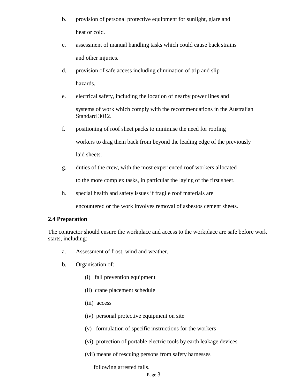- b. provision of personal protective equipment for sunlight, glare and heat or cold.
- c. assessment of manual handling tasks which could cause back strains and other injuries.
- d. provision of safe access including elimination of trip and slip hazards.
- e. electrical safety, including the location of nearby power lines and systems of work which comply with the recommendations in the Australian Standard 3012.
- f. positioning of roof sheet packs to minimise the need for roofing workers to drag them back from beyond the leading edge of the previously laid sheets.
- g. duties of the crew, with the most experienced roof workers allocated to the more complex tasks, in particular the laying of the first sheet.
- h. special health and safety issues if fragile roof materials are

encountered or the work involves removal of asbestos cement sheets.

#### **2.4 Preparation**

The contractor should ensure the workplace and access to the workplace are safe before work starts, including:

- a. Assessment of frost, wind and weather.
- b. Organisation of:
	- (i) fall prevention equipment
	- (ii) crane placement schedule
	- (iii) access
	- (iv) personal protective equipment on site
	- (v) formulation of specific instructions for the workers
	- (vi) protection of portable electric tools by earth leakage devices
	- (vii) means of rescuing persons from safety harnesses

following arrested falls.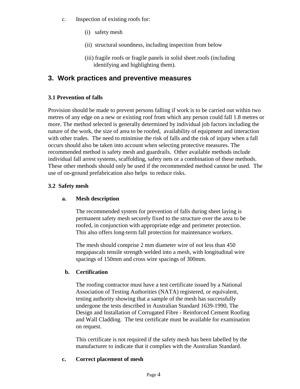- c. Inspection of existing roofs for:
	- (i) safety mesh
	- (ii) structural soundness, including inspection from below
	- (iii) fragile roofs or fragile panels in solid sheet roofs (including identifying and highlighting them).

## **3. Work practices and preventive measures**

#### **3.1 Prevention of falls**

Provision should be made to prevent persons falling if work is to be carried out within two metres of any edge on a new or existing roof from which any person could fall 1.8 metres or more. The method selected is generally determined by individual job factors including the nature of the work, the size of area to be roofed, availability of equipment and interaction with other trades. The need to minimise the risk of falls and the risk of injury when a fall occurs should also be taken into account when selecting protective measures. The recommended method is safety mesh and guardrails. Other available methods include individual fall arrest systems, scaffolding, safety nets or a combination of these methods. These other methods should only be used if the recommended method cannot be used. The use of on-ground prefabrication also helps to reduce risks.

#### **3.2 Safety mesh**

#### **a. Mesh description**

The recommended system for prevention of falls during sheet laying is permanent safety mesh securely fixed to the structure over the area to be roofed, in conjunction with appropriate edge and perimeter protection. This also offers long-term fall protection for maintenance workers.

The mesh should comprise 2 mm diameter wire of not less than 450 megapascals tensile strength welded into a mesh, with longitudinal wire spacings of 150mm and cross wire spacings of 300mm.

#### **b. Certification**

The roofing contractor must have a test certificate issued by a National Association of Testing Authorities (NATA) registered, or equivalent, testing authority showing that a sample of the mesh has successfully undergone the tests described in Australian Standard 1639-1990, The Design and Installation of Corrugated Fibre - Reinforced Cement Roofing and Wall Cladding. The test certificate must be available for examination on request.

This certificate is not required if the safety mesh has been labelled by the manufacturer to indicate that it complies with the Australian Standard.

#### **c. Correct placement of mesh**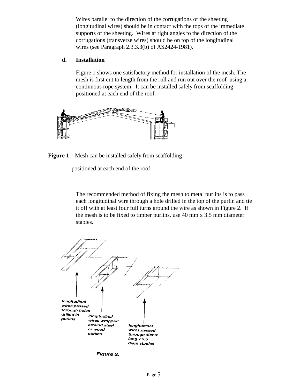Wires parallel to the direction of the corrugations of the sheeting (longitudinal wires) should be in contact with the tops of the immediate supports of the sheeting. Wires at right angles to the direction of the corrugations (transverse wires) should be on top of the longitudinal wires (see Paragraph 2.3.3.3(b) of AS2424-1981).

#### **d. Installation**

Figure 1 shows one satisfactory method for installation of the mesh. The mesh is first cut to length from the roll and run out over the roof using a continuous rope system. It can be installed safely from scaffolding positioned at each end of the roof.



#### **Figure 1** Mesh can be installed safely from scaffolding

positioned at each end of the roof

The recommended method of fixing the mesh to metal purlins is to pass each longitudinal wire through a hole drilled in the top of the purlin and tie it off with at least four full turns around the wire as shown in Figure 2. If the mesh is to be fixed to timber purlins, use 40 mm x 3.5 mm diameter staples.



Figure 2.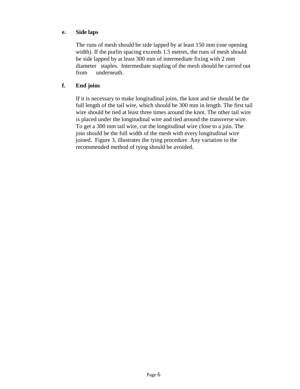#### **e. Side laps**

The runs of mesh should be side lapped by at least 150 mm (one opening width). If the purlin spacing exceeds 1.5 metres, the runs of mesh should be side lapped by at least 300 mm of intermediate fixing with 2 mm diameter staples. Intermediate stapling of the mesh should be carried out from underneath.

#### **f. End joins**

If it is necessary to make longitudinal joins, the knot and tie should be the full length of the tail wire, which should be 300 mm in length. The first tail wire should be tied at least three times around the knot. The other tail wire is placed under the longitudinal wire and tied around the transverse wire. To get a 300 mm tail wire, cut the longitudinal wire close to a join. The join should be the full width of the mesh with every longitudinal wire joined. Figure 3, illustrates the tying procedure. Any variation to the recommended method of tying should be avoided.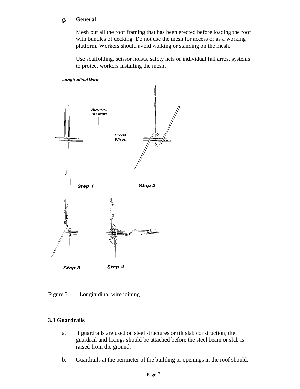#### **g. General**

 Mesh out all the roof framing that has been erected before loading the roof with bundles of decking. Do not use the mesh for access or as a working platform. Workers should avoid walking or standing on the mesh.

Use scaffolding, scissor hoists, safety nets or individual fall arrest systems to protect workers installing the mesh.

#### **Longitudinal Wire**



Figure 3 Longitudinal wire joining

#### **3.3 Guardrails**

- a. If guardrails are used on steel structures or tilt slab construction, the guardrail and fixings should be attached before the steel beam or slab is raised from the ground.
- b. Guardrails at the perimeter of the building or openings in the roof should: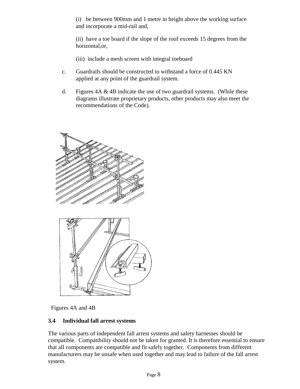(i) be between 900mm and 1 metre in height above the working surface and incorporate a mid-rail and,

(ii) have a toe board if the slope of the roof exceeds 15 degrees from the horizontal,or*,*

- (iii) include a mesh screen with integral toeboard
- c. Guardrails should be constructed to withstand a force of 0.445 KN applied at any point of the guardrail system.
- d. Figures  $4A \& 4B$  indicate the use of two guardrail systems. (While these diagrams illustrate proprietary products, other products may also meet the recommendations of the Code).



Figures 4A and 4B

#### **3.4 Individual fall arrest systems**

The various parts of independent fall arrest systems and safety harnesses should be compatible. Compatibility should not be taken for granted. It is therefore essential to ensure that all components are compatible and fit safely together. Components from different manufacturers may be unsafe when used together and may lead to failure of the fall arrest system.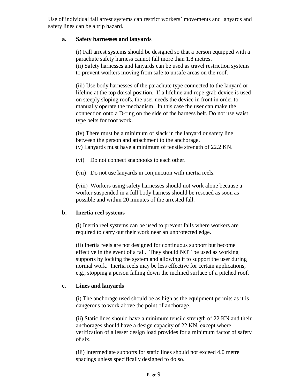Use of individual fall arrest systems can restrict workers' movements and lanyards and safety lines can be a trip hazard.

#### **a. Safety harnesses and lanyards**

 (i) Fall arrest systems should be designed so that a person equipped with a parachute safety harness cannot fall more than 1.8 metres. (ii) Safety harnesses and lanyards can be used as travel restriction systems to prevent workers moving from safe to unsafe areas on the roof.

 (iii) Use body harnesses of the parachute type connected to the lanyard or lifeline at the top dorsal position. If a lifeline and rope-grab device is used on steeply sloping roofs, the user needs the device in front in order to manually operate the mechanism. In this case the user can make the connection onto a D-ring on the side of the harness belt. Do not use waist type belts for roof work.

(iv) There must be a minimum of slack in the lanyard or safety line between the person and attachment to the anchorage. (v) Lanyards must have a minimum of tensile strength of 22.2 KN.

- (vi) Do not connect snaphooks to each other.
- (vii) Do not use lanyards in conjunction with inertia reels.

(viii) Workers using safety harnesses should not work alone because a worker suspended in a full body harness should be rescued as soon as possible and within 20 minutes of the arrested fall.

#### **b. Inertia reel systems**

(i) Inertia reel systems can be used to prevent falls where workers are required to carry out their work near an unprotected edge.

(ii) Inertia reels are not designed for continuous support but become effective in the event of a fall. They should NOT be used as working supports by locking the system and allowing it to support the user during normal work. Inertia reels may be less effective for certain applications, e.g., stopping a person falling down the inclined surface of a pitched roof.

#### **c. Lines and lanyards**

(i) The anchorage used should be as high as the equipment permits as it is dangerous to work above the point of anchorage.

(ii) Static lines should have a minimum tensile strength of 22 KN and their anchorages should have a design capacity of 22 KN, except where verification of a lesser design load provides for a minimum factor of safety of six.

(iii) Intermediate supports for static lines should not exceed 4.0 metre spacings unless specifically designed to do so.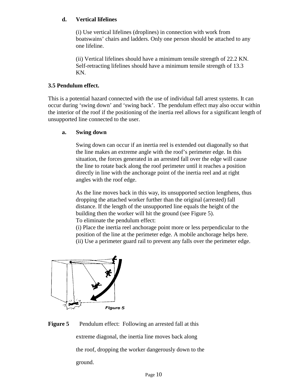#### **d. Vertical lifelines**

(i) Use vertical lifelines (droplines) in connection with work from boatswains' chairs and ladders. Only one person should be attached to any one lifeline.

(ii) Vertical lifelines should have a minimum tensile strength of 22.2 KN. Self-retracting lifelines should have a minimum tensile strength of 13.3 KN.

#### **3.5 Pendulum effect.**

This is a potential hazard connected with the use of individual fall arrest systems. It can occur during 'swing down' and 'swing back'. The pendulum effect may also occur within the interior of the roof if the positioning of the inertia reel allows for a significant length of unsupported line connected to the user.

#### **a. Swing down**

Swing down can occur if an inertia reel is extended out diagonally so that the line makes an extreme angle with the roof's perimeter edge. In this situation, the forces generated in an arrested fall over the edge will cause the line to rotate back along the roof perimeter until it reaches a position directly in line with the anchorage point of the inertia reel and at right angles with the roof edge.

 As the line moves back in this way, its unsupported section lengthens, thus dropping the attached worker further than the original (arrested) fall distance. If the length of the unsupported line equals the height of the building then the worker will hit the ground (see Figure 5). To eliminate the pendulum effect:

(i) Place the inertia reel anchorage point more or less perpendicular to the position of the line at the perimeter edge. A mobile anchorage helps here. (ii) Use a perimeter guard rail to prevent any falls over the perimeter edge.



**Figure 5** Pendulum effect: Following an arrested fall at this extreme diagonal, the inertia line moves back along the roof, dropping the worker dangerously down to the ground.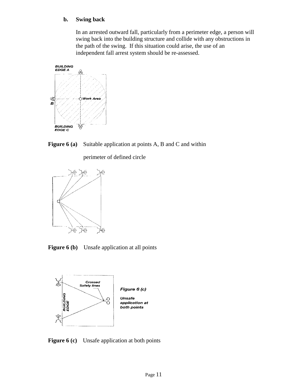#### **b. Swing back**

 In an arrested outward fall, particularly from a perimeter edge, a person will swing back into the building structure and collide with any obstructions in the path of the swing. If this situation could arise, the use of an independent fall arrest system should be re-assessed.



**Figure 6 (a)** Suitable application at points A, B and C and within

perimeter of defined circle



**Figure 6 (b)** Unsafe application at all points



**Figure 6 (c)** Unsafe application at both points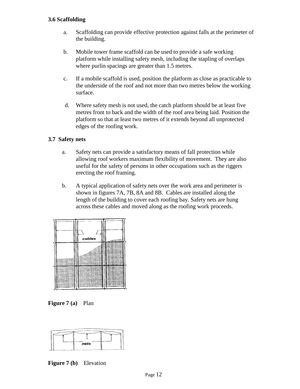#### **3.6 Scaffolding**

- a. Scaffolding can provide effective protection against falls at the perimeter of the building.
- b. Mobile tower frame scaffold can be used to provide a safe working platform while installing safety mesh, including the stapling of overlaps where purlin spacings are greater than 1.5 metres.
- c. If a mobile scaffold is used, position the platform as close as practicable to the underside of the roof and not more than two metres below the working surface.
- d. Where safety mesh is not used, the catch platform should be at least five metres front to back and the width of the roof area being laid. Position the platform so that at least two metres of it extends beyond all unprotected edges of the roofing work.

#### **3.7 Safety nets**

- a. Safety nets can provide a satisfactory means of fall protection while allowing roof workers maximum flexibility of movement. They are also useful for the safety of persons in other occupations such as the riggers erecting the roof framing.
- b. A typical application of safety nets over the work area and perimeter is shown in figures 7A, 7B, 8A and 8B. Cables are installed along the length of the building to cover each roofing bay. Safety nets are hung across these cables and moved along as the roofing work proceeds.



**Figure 7 (a)** Plan



**Figure 7 (b)** Elevation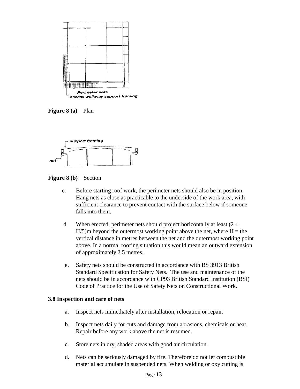

**Figure 8 (a)** Plan



**Figure 8 (b)** Section

- c. Before starting roof work, the perimeter nets should also be in position. Hang nets as close as practicable to the underside of the work area, with sufficient clearance to prevent contact with the surface below if someone falls into them.
- d. When erected, perimeter nets should project horizontally at least  $(2 +$  $H/5$ )m beyond the outermost working point above the net, where  $H =$  the vertical distance in metres between the net and the outermost working point above. In a normal roofing situation this would mean an outward extension of approximately 2.5 metres.
- e. Safety nets should be constructed in accordance with BS 3913 British Standard Specification for Safety Nets. The use and maintenance of the nets should be in accordance with CP93 British Standard Institution (BSI) Code of Practice for the Use of Safety Nets on Constructional Work.

#### **3.8 Inspection and care of nets**

- a. Inspect nets immediately after installation, relocation or repair.
- b. Inspect nets daily for cuts and damage from abrasions, chemicals or heat. Repair before any work above the net is resumed.
- c. Store nets in dry, shaded areas with good air circulation.
- d. Nets can be seriously damaged by fire. Therefore do not let combustible material accumulate in suspended nets. When welding or oxy cutting is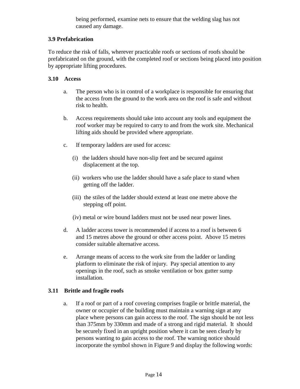being performed, examine nets to ensure that the welding slag has not caused any damage.

#### **3.9 Prefabrication**

To reduce the risk of falls, wherever practicable roofs or sections of roofs should be prefabricated on the ground, with the completed roof or sections being placed into position by appropriate lifting procedures.

#### **3.10 Access**

- a. The person who is in control of a workplace is responsible for ensuring that the access from the ground to the work area on the roof is safe and without risk to health.
- b. Access requirements should take into account any tools and equipment the roof worker may be required to carry to and from the work site. Mechanical lifting aids should be provided where appropriate.
- c. If temporary ladders are used for access:
	- (i) the ladders should have non-slip feet and be secured against displacement at the top.
	- (ii) workers who use the ladder should have a safe place to stand when getting off the ladder.
	- (iii) the stiles of the ladder should extend at least one metre above the stepping off point.
	- (iv) metal or wire bound ladders must not be used near power lines.
- d. A ladder access tower is recommended if access to a roof is between 6 and 15 metres above the ground or other access point. Above 15 metres consider suitable alternative access.
- e. Arrange means of access to the work site from the ladder or landing platform to eliminate the risk of injury. Pay special attention to any openings in the roof, such as smoke ventilation or box gutter sump installation.

#### **3.11 Brittle and fragile roofs**

 a. If a roof or part of a roof covering comprises fragile or brittle material, the owner or occupier of the building must maintain a warning sign at any place where persons can gain access to the roof. The sign should be not less than 375mm by 330mm and made of a strong and rigid material. It should be securely fixed in an upright position where it can be seen clearly by persons wanting to gain access to the roof. The warning notice should incorporate the symbol shown in Figure 9 and display the following words: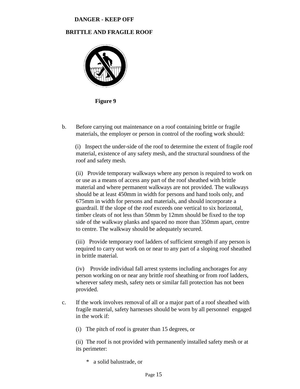#### **DANGER - KEEP OFF**

#### **BRITTLE AND FRAGILE ROOF**



 **Figure 9**

b. Before carrying out maintenance on a roof containing brittle or fragile materials, the employer or person in control of the roofing work should:

 (i) Inspect the under-side of the roof to determine the extent of fragile roof material, existence of any safety mesh, and the structural soundness of the roof and safety mesh.

(ii) Provide temporary walkways where any person is required to work on or use as a means of access any part of the roof sheathed with brittle material and where permanent walkways are not provided. The walkways should be at least 450mm in width for persons and hand tools only, and 675mm in width for persons and materials, and should incorporate a guardrail. If the slope of the roof exceeds one vertical to six horizontal, timber cleats of not less than 50mm by 12mm should be fixed to the top side of the walkway planks and spaced no more than 350mm apart, centre to centre. The walkway should be adequately secured.

 (iii) Provide temporary roof ladders of sufficient strength if any person is required to carry out work on or near to any part of a sloping roof sheathed in brittle material.

 (iv) Provide individual fall arrest systems including anchorages for any person working on or near any brittle roof sheathing or from roof ladders, wherever safety mesh, safety nets or similar fall protection has not been provided.

- c. If the work involves removal of all or a major part of a roof sheathed with fragile material, safety harnesses should be worn by all personnel engaged in the work if:
	- (i) The pitch of roof is greater than 15 degrees, or

(ii) The roof is not provided with permanently installed safety mesh or at its perimeter:

a solid balustrade, or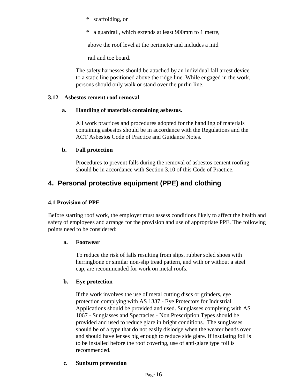- \* scaffolding, or
- \* a guardrail, which extends at least 900mm to 1 metre,

above the roof level at the perimeter and includes a mid

rail and toe board.

 The safety harnesses should be attached by an individual fall arrest device to a static line positioned above the ridge line. While engaged in the work, persons should only walk or stand over the purlin line.

#### **3.12 Asbestos cement roof removal**

#### **a. Handling of materials containing asbestos.**

All work practices and procedures adopted for the handling of materials containing asbestos should be in accordance with the Regulations and the ACT Asbestos Code of Practice and Guidance Notes.

#### **b. Fall protection**

 Procedures to prevent falls during the removal of asbestos cement roofing should be in accordance with Section 3.10 of this Code of Practice.

## **4. Personal protective equipment (PPE) and clothing**

#### **4.1 Provision of PPE**

Before starting roof work, the employer must assess conditions likely to affect the health and safety of employees and arrange for the provision and use of appropriate PPE. The following points need to be considered:

#### **a. Footwear**

 To reduce the risk of falls resulting from slips, rubber soled shoes with herringbone or similar non-slip tread pattern, and with or without a steel cap, are recommended for work on metal roofs.

#### **b. Eye protection**

 If the work involves the use of metal cutting discs or grinders, eye protection complying with AS 1337 - Eye Protectors for Industrial Applications should be provided and used. Sunglasses complying with AS 1067 - Sunglasses and Spectacles - Non Prescription Types should be provided and used to reduce glare in bright conditions. The sunglasses should be of a type that do not easily dislodge when the wearer bends over and should have lenses big enough to reduce side glare. If insulating foil is to be installed before the roof covering, use of anti-glare type foil is recommended.

#### **c. Sunburn prevention**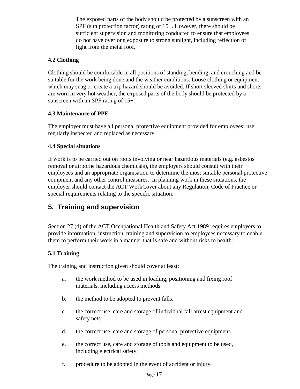The exposed parts of the body should be protected by a sunscreen with an SPF (sun protection factor) rating of 15+. However, there should be sufficient supervision and monitoring conducted to ensure that employees do not have overlong exposure to strong sunlight, including reflection of light from the metal roof.

#### **4.2 Clothing**

Clothing should be comfortable in all positions of standing, bending, and crouching and be suitable for the work being done and the weather conditions. Loose clothing or equipment which may snag or create a trip hazard should be avoided. If short sleeved shirts and shorts are worn in very hot weather, the exposed parts of the body should be protected by a sunscreen with an SPF rating of 15+.

#### **4.3 Maintenance of PPE**

The employer must have all personal protective equipment provided for employees' use regularly inspected and replaced as necessary.

#### **4.4 Special situations**

If work is to be carried out on roofs involving or near hazardous materials (e.g. asbestos removal or airborne hazardous chemicals), the employers should consult with their employees and an appropriate organisation to determine the most suitable personal protective equipment and any other control measures. In planning work in these situations, the employer should contact the ACT WorkCover about any Regulation, Code of Practice or special requirements relating to the specific situation.

## **5. Training and supervision**

Section 27 (d) of the ACT Occupational Health and Safety Act 1989 requires employers to provide information, instruction, training and supervision to employees necessary to enable them to perform their work in a manner that is safe and without risks to health.

#### **5.1 Training**

The training and instruction given should cover at least:

- a. the work method to be used in loading, positioning and fixing roof materials, including access methods.
- b. the method to be adopted to prevent falls.
- c. the correct use, care and storage of individual fall arrest equipment and safety nets.
- d. the correct use, care and storage of personal protective equipment.
- e. the correct use, care and storage of tools and equipment to be used, including electrical safety.
- f. procedure to be adopted in the event of accident or injury.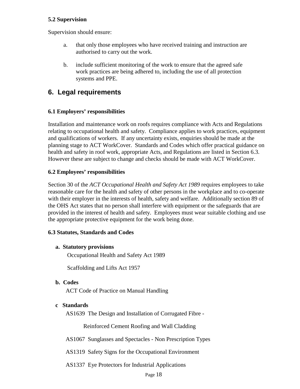#### **5.2 Supervision**

Supervision should ensure:

- a. that only those employees who have received training and instruction are authorised to carry out the work.
- b. include sufficient monitoring of the work to ensure that the agreed safe work practices are being adhered to, including the use of all protection systems and PPE.

## **6. Legal requirements**

#### **6.1 Employers' responsibilities**

Installation and maintenance work on roofs requires compliance with Acts and Regulations relating to occupational health and safety. Compliance applies to work practices, equipment and qualifications of workers. If any uncertainty exists, enquiries should be made at the planning stage to ACT WorkCover. Standards and Codes which offer practical guidance on health and safety in roof work, appropriate Acts, and Regulations are listed in Section 6.3. However these are subject to change and checks should be made with ACT WorkCover.

#### **6.2 Employees' responsibilities**

Section 30 of the *ACT Occupational Health and Safety Act 1989* requires employees to take reasonable care for the health and safety of other persons in the workplace and to co-operate with their employer in the interests of health, safety and welfare. Additionally section 89 of the OHS Act states that no person shall interfere with equipment or the safeguards that are provided in the interest of health and safety. Employees must wear suitable clothing and use the appropriate protective equipment for the work being done.

#### **6.3 Statutes, Standards and Codes**

#### **a. Statutory provisions**

Occupational Health and Safety Act 1989

Scaffolding and Lifts Act 1957

 **b. Codes**

ACT Code of Practice on Manual Handling

#### **c Standards**

AS1639 The Design and Installation of Corrugated Fibre -

Reinforced Cement Roofing and Wall Cladding

- AS1067 Sunglasses and Spectacles Non Prescription Types
- AS1319 Safety Signs for the Occupational Environment
- AS1337 Eye Protectors for Industrial Applications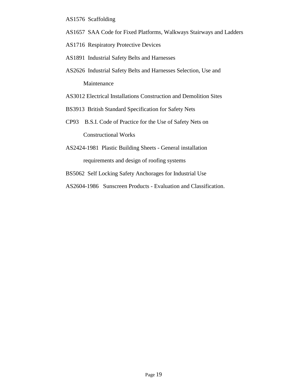- AS1576 Scaffolding
- AS1657 SAA Code for Fixed Platforms, Walkways Stairways and Ladders
- AS1716 Respiratory Protective Devices
- AS1891 Industrial Safety Belts and Harnesses
- AS2626 Industrial Safety Belts and Harnesses Selection, Use and Maintenance
- AS3012 Electrical Installations Construction and Demolition Sites
- BS3913 British Standard Specification for Safety Nets
- CP93 B.S.I. Code of Practice for the Use of Safety Nets on

Constructional Works

- AS2424-1981 Plastic Building Sheets General installation requirements and design of roofing systems
- BS5062 Self Locking Safety Anchorages for Industrial Use
- AS2604-1986 Sunscreen Products Evaluation and Classification.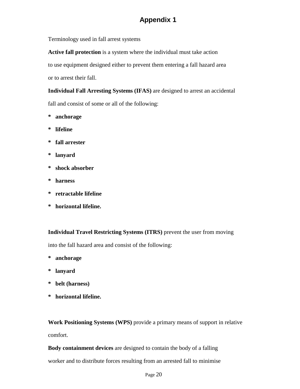## **Appendix 1**

Terminology used in fall arrest systems

**Active fall protection** is a system where the individual must take action to use equipment designed either to prevent them entering a fall hazard area or to arrest their fall.

**Individual Fall Arresting Systems (IFAS)** are designed to arrest an accidental fall and consist of some or all of the following:

- **\* anchorage**
- **\* lifeline**
- **\* fall arrester**
- **\* lanyard**
- **\* shock absorber**
- **\* harness**
- **\* retractable lifeline**
- **\* horizontal lifeline.**

**Individual Travel Restricting Systems (ITRS)** prevent the user from moving

into the fall hazard area and consist of the following:

- **\* anchorage**
- **\* lanyard**
- **\* belt (harness)**
- **\* horizontal lifeline.**

**Work Positioning Systems (WPS)** provide a primary means of support in relative comfort.

**Body containment devices** are designed to contain the body of a falling

worker and to distribute forces resulting from an arrested fall to minimise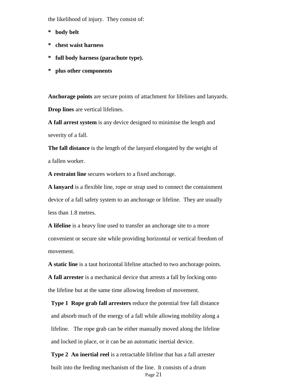the likelihood of injury. They consist of:

- **\* body belt**
- **\* chest waist harness**
- **\* full body harness (parachute type).**
- **\* plus other components**

**Anchorage points** are secure points of attachment for lifelines and lanyards. **Drop lines** are vertical lifelines.

**A fall arrest system** is any device designed to minimise the length and severity of a fall.

**The fall distance** is the length of the lanyard elongated by the weight of a fallen worker.

**A restraint line** secures workers to a fixed anchorage.

**A lanyard** is a flexible line, rope or strap used to connect the containment device of a fall safety system to an anchorage or lifeline. They are usually less than 1.8 metres.

**A lifeline** is a heavy line used to transfer an anchorage site to a more convenient or secure site while providing horizontal or vertical freedom of movement.

**A static line** is a taut horizontal lifeline attached to two anchorage points.

**A fall arrester** is a mechanical device that arrests a fall by locking onto the lifeline but at the same time allowing freedom of movement.

 **Type 1 Rope grab fall arresters** reduce the potential free fall distance and absorb much of the energy of a fall while allowing mobility along a lifeline. The rope grab can be either manually moved along the lifeline and locked in place, or it can be an automatic inertial device.

Page 21 **Type 2 An inertial reel** is a retractable lifeline that has a fall arrester built into the feeding mechanism of the line. It consists of a drum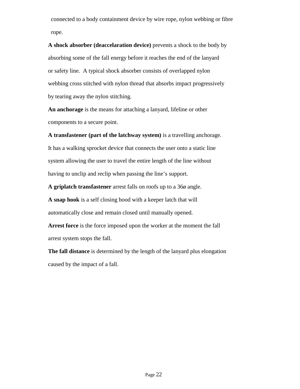connected to a body containment device by wire rope, nylon webbing or fibre rope.

**A shock absorber (deaccelaration device)** prevents a shock to the body by absorbing some of the fall energy before it reaches the end of the lanyard or safety line. A typical shock absorber consists of overlapped nylon webbing cross stitched with nylon thread that absorbs impact progressively by tearing away the nylon stitching.

**An anchorage** is the means for attaching a lanyard, lifeline or other components to a secure point.

**A transfastener (part of the latchway system)** is a travelling anchorage.

It has a walking sprocket device that connects the user onto a static line system allowing the user to travel the entire length of the line without having to unclip and reclip when passing the line's support.

**A griplatch transfastener** arrest falls on roofs up to a 36ø angle.

**A snap hook** is a self closing hood with a keeper latch that will automatically close and remain closed until manually opened.

**Arrest force** is the force imposed upon the worker at the moment the fall arrest system stops the fall.

**The fall distance** is determined by the length of the lanyard plus elongation caused by the impact of a fall.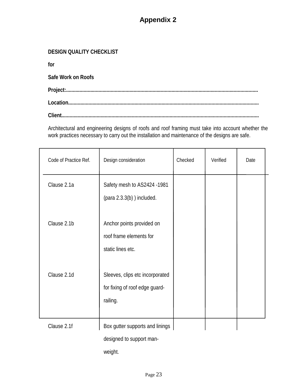## **Appendix 2**

#### **DESIGN QUALITY CHECKLIST**

**for**

**Safe Work on Roofs**

**Project:.............................................................................................................................................. Location.............................................................................................................................................**

**Client..................................................................................................................................................**

Architectural and engineering designs of roofs and roof framing must take into account whether the work practices necessary to carry out the installation and maintenance of the designs are safe.

| Code of Practice Ref. | Design consideration                                                          | Checked | Verified | Date |  |
|-----------------------|-------------------------------------------------------------------------------|---------|----------|------|--|
| Clause 2.1a           | Safety mesh to AS2424 -1981<br>$(para 2.3.3(b))$ included.                    |         |          |      |  |
| Clause 2.1b           | Anchor points provided on<br>roof frame elements for<br>static lines etc.     |         |          |      |  |
| Clause 2.1d           | Sleeves, clips etc incorporated<br>for fixing of roof edge guard-<br>railing. |         |          |      |  |
| Clause 2.1f           | Box gutter supports and linings<br>designed to support man-                   |         |          |      |  |

weight.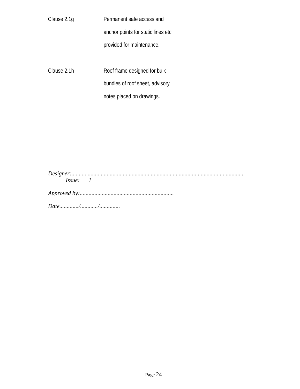| Clause 2.1q | Permanent safe access and           |  |  |  |  |
|-------------|-------------------------------------|--|--|--|--|
|             | anchor points for static lines etc. |  |  |  |  |
|             | provided for maintenance.           |  |  |  |  |
|             |                                     |  |  |  |  |
| Clause 2.1h | Roof frame designed for bulk        |  |  |  |  |
|             | bundles of roof sheet, advisory     |  |  |  |  |
|             | notes placed on drawings.           |  |  |  |  |

| $\iota$ ssue |  |  |  |  |
|--------------|--|--|--|--|

*Approved by:................................................................*

*Date............./............/..............*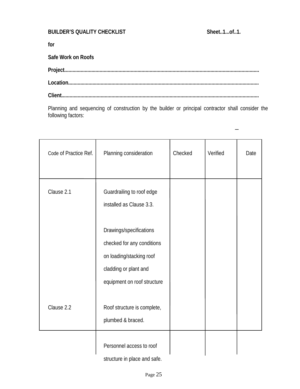#### **BUILDER'S QUALITY CHECKLIST** Sheet..1...of..1.

**for**

**Safe Work on Roofs**

| $\textbf{\textbf{Location}}.\textcolor{red}{\textbf{\textbf{Location}}}.\\$ |  |
|-----------------------------------------------------------------------------|--|
|                                                                             |  |

Planning and sequencing of construction by the builder or principal contractor shall consider the following factors:

| Code of Practice Ref. | Planning consideration                                                                                                                    | Checked | Verified | Date |
|-----------------------|-------------------------------------------------------------------------------------------------------------------------------------------|---------|----------|------|
| Clause 2.1            | Guardrailing to roof edge<br>installed as Clause 3.3.                                                                                     |         |          |      |
|                       | Drawings/specifications<br>checked for any conditions<br>on loading/stacking roof<br>cladding or plant and<br>equipment on roof structure |         |          |      |
| Clause 2.2            | Roof structure is complete,<br>plumbed & braced.                                                                                          |         |          |      |
|                       | Personnel access to roof<br>structure in place and safe.                                                                                  |         |          |      |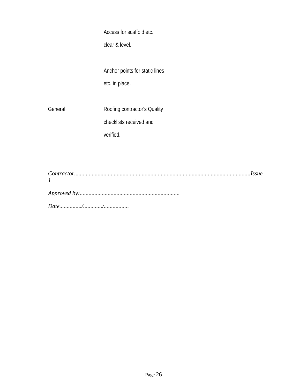Access for scaffold etc.

clear & level.

Anchor points for static lines etc. in place.

General Roofing contractor's Quality checklists received and verified.

*Contractor........................................................................................................................Issue 1 Approved by:.................................................................... Date.............../............./.................*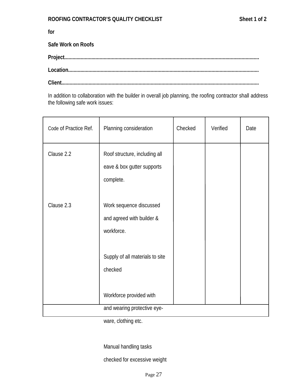**for**

**Safe Work on Roofs**

**Project................................................................................................................................................**

**Location.............................................................................................................................................**

**Client..................................................................................................................................................**

In addition to collaboration with the builder in overall job planning, the roofing contractor shall address the following safe work issues:

| Code of Practice Ref. | Planning consideration                                                   | Checked | Verified | Date |
|-----------------------|--------------------------------------------------------------------------|---------|----------|------|
| Clause 2.2            | Roof structure, including all<br>eave & box gutter supports<br>complete. |         |          |      |
| Clause 2.3            | Work sequence discussed<br>and agreed with builder &<br>workforce.       |         |          |      |
|                       | Supply of all materials to site<br>checked                               |         |          |      |
|                       | Workforce provided with<br>and wearing protective eye-                   |         |          |      |

ware, clothing etc.

Manual handling tasks

checked for excessive weight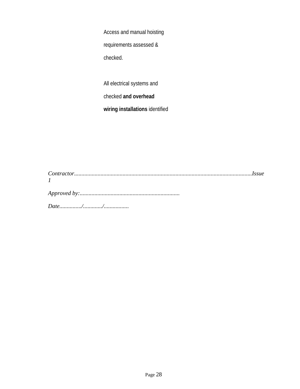Access and manual hoisting

requirements assessed &

checked.

All electrical systems and

checked **and overhead**

**wiring installations** identified

*Contractor.........................................................................................................................Issue 1 Approved by:....................................................................*

*Date.............../............./.................*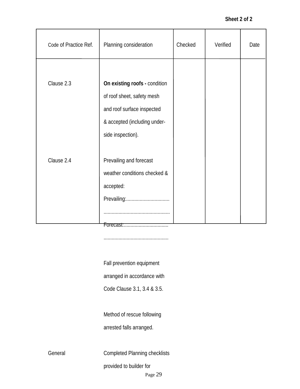#### **Sheet 2 of 2**

| Code of Practice Ref. | Planning consideration                                                                                                                         | Checked | Verified | Date |
|-----------------------|------------------------------------------------------------------------------------------------------------------------------------------------|---------|----------|------|
| Clause 2.3            | On existing roofs - condition<br>of roof sheet, safety mesh<br>and roof surface inspected<br>& accepted (including under-<br>side inspection). |         |          |      |
| Clause 2.4            | Prevailing and forecast<br>weather conditions checked &<br>accepted:<br>Prevailing:                                                            |         |          |      |

................................................

Fall prevention equipment

arranged in accordance with

Code Clause 3.1, 3.4 & 3.5.

Method of rescue following

arrested falls arranged.

General **Completed Planning checklists** 

provided to builder for